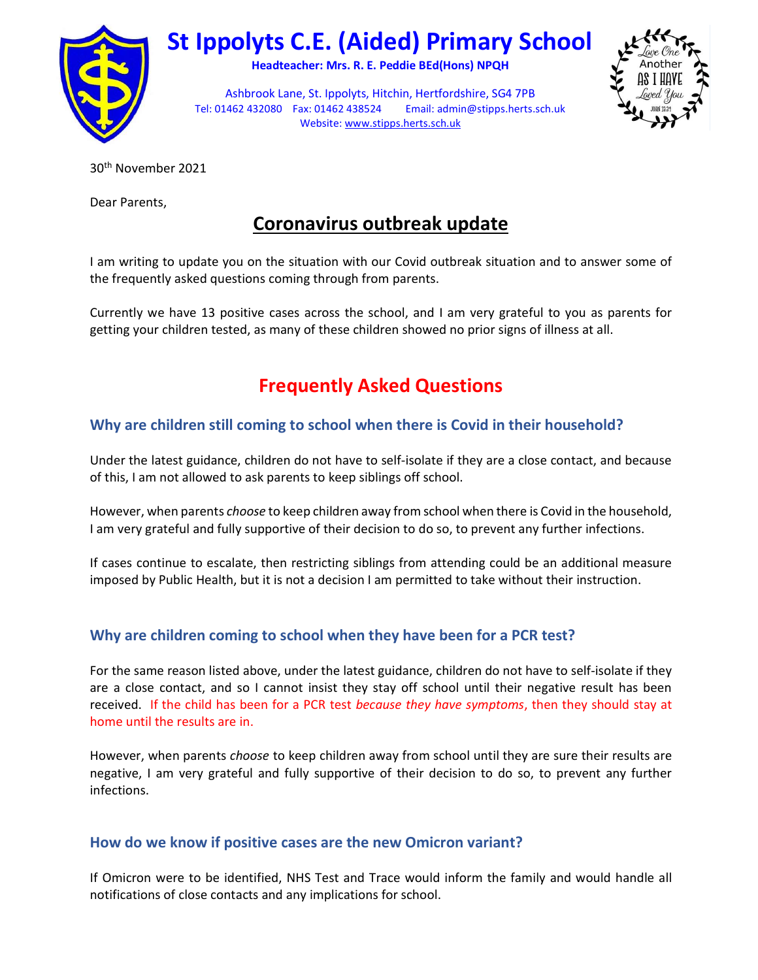

# St Ippolyts C.E. (Aided) Primary School

Headteacher: Mrs. R. E. Peddie BEd(Hons) NPQH



Ashbrook Lane, St. Ippolyts, Hitchin, Hertfordshire, SG4 7PB Tel: 01462 432080 Fax: 01462 438524 Email: admin@stipps.herts.sch.uk Website: www.stipps.herts.sch.uk

30th November 2021

Dear Parents,

# Coronavirus outbreak update

I am writing to update you on the situation with our Covid outbreak situation and to answer some of the frequently asked questions coming through from parents.

Currently we have 13 positive cases across the school, and I am very grateful to you as parents for getting your children tested, as many of these children showed no prior signs of illness at all.

# Frequently Asked Questions

# Why are children still coming to school when there is Covid in their household?

Under the latest guidance, children do not have to self-isolate if they are a close contact, and because of this, I am not allowed to ask parents to keep siblings off school.

However, when parents *choose* to keep children away from school when there is Covid in the household, I am very grateful and fully supportive of their decision to do so, to prevent any further infections.

If cases continue to escalate, then restricting siblings from attending could be an additional measure imposed by Public Health, but it is not a decision I am permitted to take without their instruction.

# Why are children coming to school when they have been for a PCR test?

For the same reason listed above, under the latest guidance, children do not have to self-isolate if they are a close contact, and so I cannot insist they stay off school until their negative result has been received. If the child has been for a PCR test because they have symptoms, then they should stay at home until the results are in.

However, when parents *choose* to keep children away from school until they are sure their results are negative, I am very grateful and fully supportive of their decision to do so, to prevent any further infections.

## How do we know if positive cases are the new Omicron variant?

If Omicron were to be identified, NHS Test and Trace would inform the family and would handle all notifications of close contacts and any implications for school.